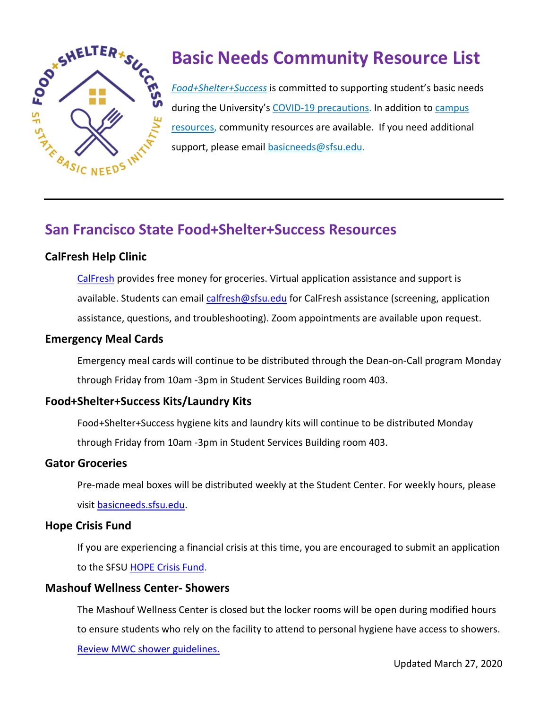

# **Basic Needs Community Resource List**

*[Food+Shelter+Success](https://basicneeds.sfsu.edu/)* is committed to supporting student's basic needs during the University's [COVID-19 precautions.](https://news.sfsu.edu/coronavirus) In addition to campus [resources,](https://basicneeds.sfsu.edu/) community resources are available. If you need additional support, please email [basicneeds@sfsu.edu.](mailto:basicneeds@sfsu.edu)

# **San Francisco State Food+Shelter+Success Resources**

#### **CalFresh Help Clinic**

[CalFresh](https://basicneeds.sfsu.edu/calfresh-help-clinic) provides free money for groceries. Virtual application assistance and support is available. Students can email [calfresh@sfsu.edu](mailto:calfresh@sfsu.edu) for CalFresh assistance (screening, application assistance, questions, and troubleshooting). Zoom appointments are available upon request.

#### **Emergency Meal Cards**

Emergency meal cards will continue to be distributed through the Dean-on-Call program Monday through Friday from 10am -3pm in Student Services Building room 403.

#### **Food+Shelter+Success Kits/Laundry Kits**

Food+Shelter+Success hygiene kits and laundry kits will continue to be distributed Monday through Friday from 10am -3pm in Student Services Building room 403.

#### **Gator Groceries**

Pre-made meal boxes will be distributed weekly at the Student Center. For weekly hours, please visit [basicneeds.sfsu.edu.](https://basicneeds.sfsu.edu/)

#### **Hope Crisis Fund**

If you are experiencing a financial crisis at this time, you are encouraged to submit an application to the SFSU [HOPE Crisis Fund.](https://dos.sfsu.edu/content/sf-state-hope-fund-crisis-loan-application)

#### **Mashouf Wellness Center- Showers**

The Mashouf Wellness Center is closed but the locker rooms will be open during modified hours to ensure students who rely on the facility to attend to personal hygiene have access to showers. Review MWC shower guidelines.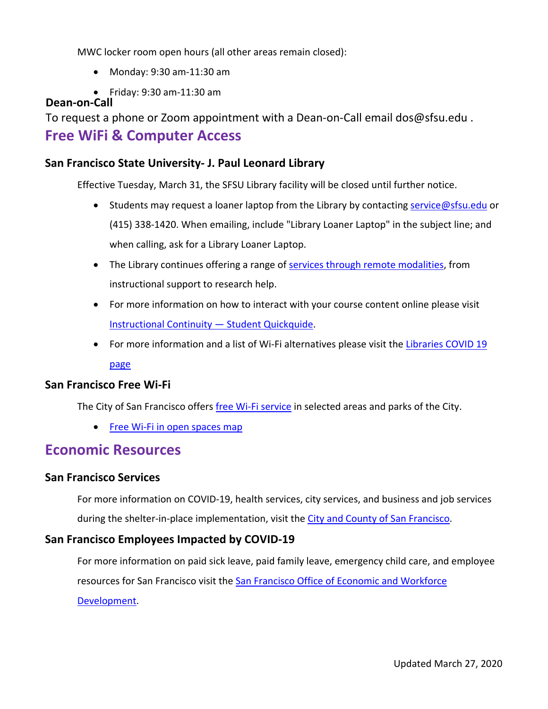MWC locker room open hours (all other areas remain closed):

- Monday: 9:30 am-11:30 am
- Friday: 9:30 am-11:30 am

#### **Dean-on-Call**

To request a phone or Zoom appointment with a Dean-on-Call email dos@sfsu.edu .

#### **Free WiFi & Computer Access**

#### **San Francisco State University- J. Paul Leonard Library**

Effective Tuesday, March 31, the SFSU Library facility will be closed until further notice.

- Students may request a loaner laptop from the Library by contacting [service@sfsu.edu](mailto:service@sfsu.edu) or (415) 338-1420. When emailing, include "Library Loaner Laptop" in the subject line; and when calling, ask for a Library Loaner Laptop.
- The Library continues offering a range of [services through remote modalities,](https://libguides.sfsu.edu/updates) from instructional support to research help.
- For more information on how to interact with your course content online please visit [Instructional Continuity — Student Quickquide.](https://instructionalcontinuity.sfsu.edu/node/4)
- For more information and a list of Wi-Fi alternatives please visit the [Libraries COVID 19](https://libguides.sfsu.edu/updates) [page](https://libguides.sfsu.edu/updates)

#### **San Francisco Free Wi-Fi**

The City of San Francisco offers [free Wi-Fi service](https://sfgov.org/sfc/sanfranciscowifi) in selected areas and parks of the City.

• [Free Wi-Fi in open spaces map](https://sfgov.org/sfc/sites/default/files/San%20Francisco%20WiFi/Free%20Wi-Fi%20Site%20List_30sept2014v3.pdf)

### **Economic Resources**

#### **San Francisco Services**

For more information on COVID-19, health services, city services, and business and job services

during the shelter-in-place implementation, visit the [City and County of San Francisco.](https://sf.gov/topics/coronavirus-covid-19)

#### **San Francisco Employees Impacted by COVID-19**

For more information on paid sick leave, paid family leave, emergency child care, and employee resources for San Francisco visit the [San Francisco Office of Economic and Workforce](https://oewd.org/employees-impacted-covid-19)  [Development.](https://oewd.org/employees-impacted-covid-19)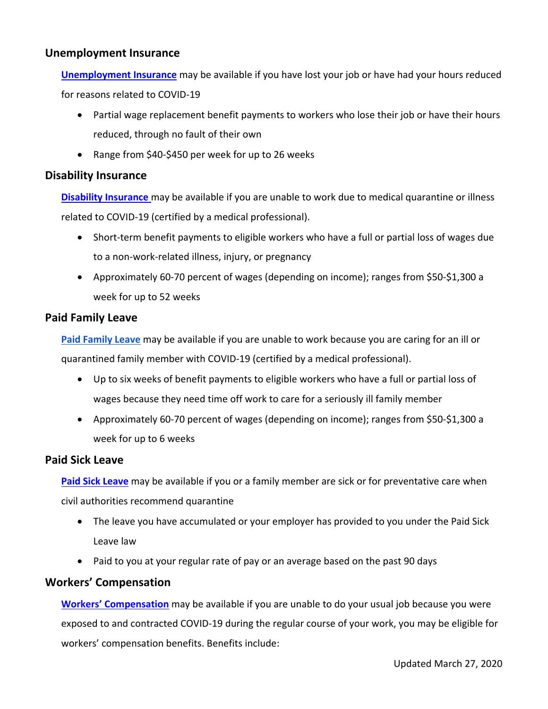#### **Unemployment Insurance**

**[Unemployment Insurance](https://sfsu.us20.list-manage.com/track/click?u=3871b2edaf38954b2333c2e65&id=d4850d838e&e=f8c0643bec)** may be available if you have lost your job or have had your hours reduced for reasons related to COVID-19

- Partial wage replacement benefit payments to workers who lose their job or have their hours reduced, through no fault of their own
- Range from \$40-\$450 per week for up to 26 weeks

#### **Disability Insurance**

**[Disability Insurance](https://sfsu.us20.list-manage.com/track/click?u=3871b2edaf38954b2333c2e65&id=137da13359&e=f8c0643bec)** may be available if you are unable to work due to medical quarantine or illness related to COVID-19 (certified by a medical professional).

- Short-term benefit payments to eligible workers who have a full or partial loss of wages due to a non-work-related illness, injury, or pregnancy
- Approximately 60-70 percent of wages (depending on income); ranges from \$50-\$1,300 a week for up to 52 weeks

#### **Paid Family Leave**

**[Paid Family Leave](https://sfsu.us20.list-manage.com/track/click?u=3871b2edaf38954b2333c2e65&id=cd3f6bd206&e=f8c0643bec)** may be available if you are unable to work because you are caring for an ill or quarantined family member with COVID-19 (certified by a medical professional).

- Up to six weeks of benefit payments to eligible workers who have a full or partial loss of wages because they need time off work to care for a seriously ill family member
- Approximately 60-70 percent of wages (depending on income); ranges from \$50-\$1,300 a week for up to 6 weeks

#### **Paid Sick Leave**

**[Paid Sick Leave](https://sfsu.us20.list-manage.com/track/click?u=3871b2edaf38954b2333c2e65&id=8c89992816&e=f8c0643bec)** may be available if you or a family member are sick or for preventative care when civil authorities recommend quarantine

- The leave you have accumulated or your employer has provided to you under the Paid Sick Leave law
- Paid to you at your regular rate of pay or an average based on the past 90 days

#### **Workers' Compensation**

**[Workers' Compensation](https://sfsu.us20.list-manage.com/track/click?u=3871b2edaf38954b2333c2e65&id=3fda97ce5f&e=f8c0643bec)** may be available if you are unable to do your usual job because you were exposed to and contracted COVID-19 during the regular course of your work, you may be eligible for workers' compensation benefits. Benefits include: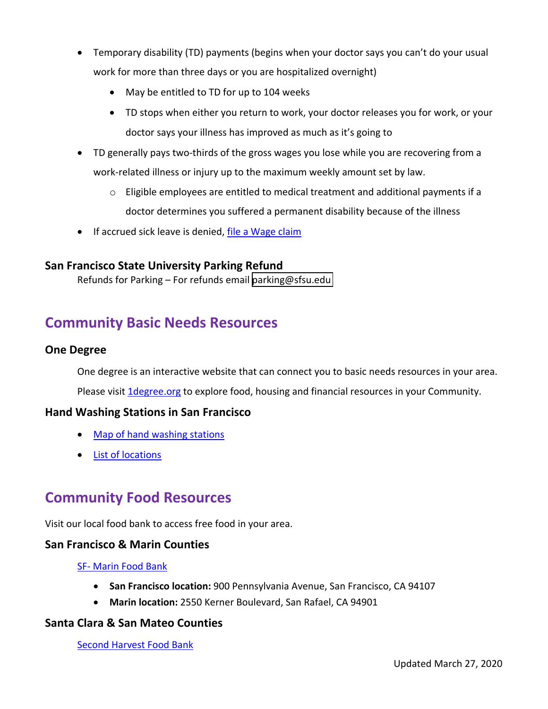- Temporary disability (TD) payments (begins when your doctor says you can't do your usual work for more than three days or you are hospitalized overnight)
	- May be entitled to TD for up to 104 weeks
	- TD stops when either you return to work, your doctor releases you for work, or your doctor says your illness has improved as much as it's going to
- TD generally pays two-thirds of the gross wages you lose while you are recovering from a work-related illness or injury up to the maximum weekly amount set by law.
	- o Eligible employees are entitled to medical treatment and additional payments if a doctor determines you suffered a permanent disability because of the illness
- If accrued sick leave is denied, [file a Wage claim](https://www.dir.ca.gov/dlse/HowToFileWageClaim.htm)

#### **San Francisco State University Parking Refund**

Refunds for Parking – For refunds email [parking@sfsu.edu](mailto:parking@sfsu.edu) 

# **Community Basic Needs Resources**

#### **One Degree**

One degree is an interactive website that can connect you to basic needs resources in your area. Please visit *1degree.org* to explore food, housing and financial resources in your Community.

#### **Hand Washing Stations in San Francisco**

- [Map of hand washing stations](https://www.google.com/maps/d/viewer?mid=1jCE9lI8Iv12tO-wWrF6RIQPWKXGBK0_z&ll=37.77496798800447%2C-122.45194099008506&z=12)
- [List of locations](https://drive.google.com/file/d/1gyyQFjMGuYlxBDt0Bs08jVee7LPZJLy8/view?usp=sharing)

# **Community Food Resources**

Visit our local food bank to access free food in your area.

#### **San Francisco & Marin Counties**

#### [SF- Marin Food Bank](http://www.sfmfoodbank.org/)

- **San Francisco location:** 900 Pennsylvania Avenue, San Francisco, CA 94107
- **Marin location:** 2550 Kerner Boulevard, San Rafael, CA 94901

#### **Santa Clara & San Mateo Counties**

[Second Harvest Food Bank](http://www.shfb.org/get-food/)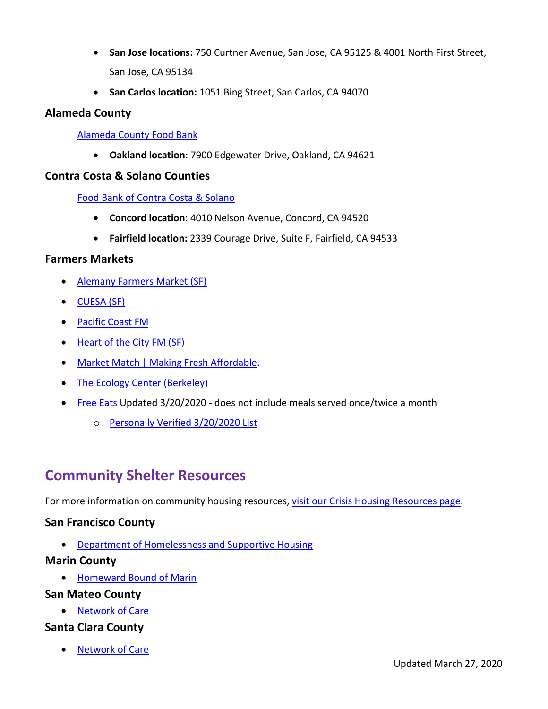- **San Jose locations:** 750 Curtner Avenue, San Jose, CA 95125 & 4001 North First Street, San Jose, CA 95134
- **San Carlos location:** 1051 Bing Street, San Carlos, CA 94070

#### **Alameda County**

#### [Alameda County Food Bank](https://www.accfb.org/)

• **Oakland location**: 7900 Edgewater Drive, Oakland, CA 94621

#### **Contra Costa & Solano Counties**

#### [Food Bank of Contra Costa & Solano](https://www.foodbankccs.org/)

- **Concord location**: 4010 Nelson Avenue, Concord, CA 94520
- **Fairfield location:** 2339 Courage Drive, Suite F, Fairfield, CA 94533

#### **Farmers Markets**

- [Alemany Farmers Market \(SF\)](https://sfgov.org/realestate/contact-us-0)
- [CUESA \(SF\)](https://cuesa.org/covid19)
- [Pacific Coast FM](https://pcfma.org/)
- [Heart of the City FM \(SF\)](http://heartofthecity-farmersmar.squarespace.com/)
- [Market Match | Making Fresh Affordable.](https://marketmatch.org/)
- [The Ecology Center \(Berkeley\)](https://ecologycenter.org/fm/)
- [Free Eats](http://www.freeprintshop.org/download/eats_english.pdf) Updated 3/20/2020 does not include meals served once/twice a month
	- o [Personally Verified 3/20/2020 List](https://docs.google.com/document/d/1k2VwvTWbVJ06eHnn4hM2c4JH-g3yzVADmdwgeXx-wNQ/edit?usp=sharing)

# **Community Shelter Resources**

For more information on community housing resources, [visit our Crisis Housing Resources page.](https://basicneeds.sfsu.edu/housing-stability)

#### **San Francisco County**

• Department of Homelessness and Supportive Housing

#### **Marin County**

• [Homeward Bound of Marin](https://hbofm.org/)

#### **San Mateo County**

• [Network of Care](https://sanmateo.networkofcare.org/aging/)

#### **Santa Clara County**

• [Network of Care](https://santaclara.networkofcare.org/mh/services/subcategory.aspx?tax=BH-1800)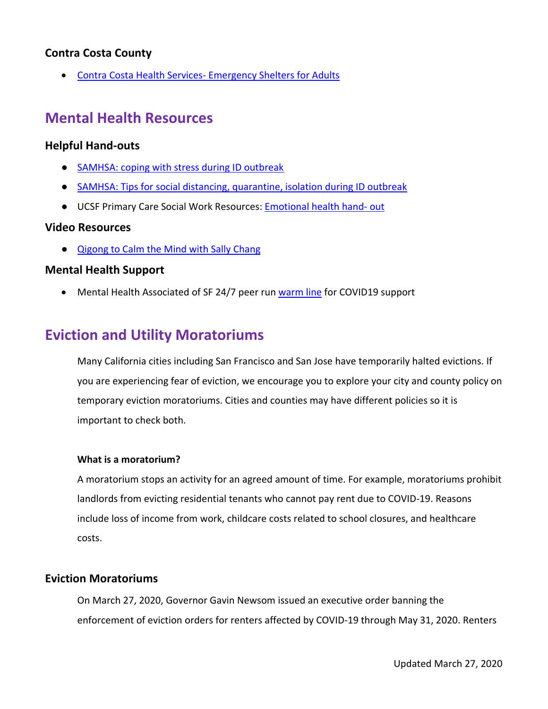#### **Contra Costa County**

• [Contra Costa Health Services- Emergency Shelters for Adults](https://cchealth.org/h3/emergency-shelter.php)

### **Mental Health Resources**

#### **Helpful Hand-outs**

- [SAMHSA: coping with stress during ID outbreak](https://store.samhsa.gov/system/files/sma14-4885.pdf)
- [SAMHSA: Tips for social distancing, quarantine, isolation during ID outbreak](https://store.samhsa.gov/system/files/sma14-4894.pdf)
- UCSF Primary Care Social Work Resources: **[Emotional health hand- out](https://drive.google.com/file/d/1qnyEJVPU42aaRyRJqnhp3CHpMimqa1bJ/view?usp=sharing)**

#### **Video Resources**

● [Qigong to Calm the Mind with Sally Chang](https://www.youtube.com/watch?v=_Z8eBcfIAlI&feature=youtu.be)

#### **Mental Health Support**

• Mental Health Associated of SF 24/7 peer run [warm line](https://www.mentalhealthsf.org/) for COVID19 support

### **Eviction and Utility Moratoriums**

Many California cities including San Francisco and San Jose have temporarily halted evictions. If you are experiencing fear of eviction, we encourage you to explore your city and county policy on temporary eviction moratoriums. Cities and counties may have different policies so it is important to check both.

#### **What is a moratorium?**

A moratorium stops an activity for an agreed amount of time. For example, moratoriums prohibit landlords from evicting residential tenants who cannot pay rent due to COVID-19. Reasons include loss of income from work, childcare costs related to school closures, and healthcare costs.

#### **Eviction Moratoriums**

On March 27, 2020, Governor Gavin Newsom issued an executive order banning the enforcement of eviction orders for renters affected by COVID-19 through May 31, 2020. Renters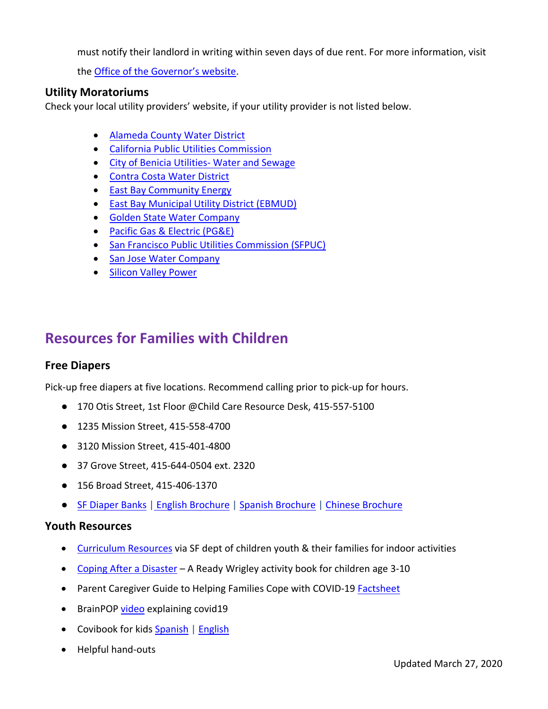must notify their landlord in writing within seven days of due rent. For more information, visit

the [Office of the Governor's website.](https://www.gov.ca.gov/2020/03/27/governor-newsom-takes-executive-action-to-establish-a-statewide-moratorium-on-evictions/)

#### **Utility Moratoriums**

Check your local utility providers' website, if your utility provider is not listed below.

- [Alameda County Water District](https://www.acwd.org/721/Coronavirus-COVID-19-Updates)
- [California Public Utilities Commission](https://www.cpuc.ca.gov/covid/)
- [City of Benicia Utilities- Water and Sewage](https://www.ci.benicia.ca.us/utilitybilling)
- [Contra Costa Water District](https://www.ccwater.com/1049/Coronavirus)
- [East Bay Community Energy](https://www.acwd.org/721/Coronavirus-COVID-19-Updates)
- [East Bay Municipal Utility District \(EBMUD\)](https://www.ebmud.com/water/about-your-water/water-quality/coronavirus/)
- [Golden State Water Company](https://www.gswater.com/covid-19-updates/)
- [Pacific Gas & Electric \(PG&E\)](https://www.pge.com/en_US/about-pge/company-information/protective-protocols/covid19.page)
- [San Francisco Public Utilities Commission \(SFPUC\)](https://sfmayor.org/article/san-francisco-suspend-power-and-water-shutoffs-waive-penalties-and-interest-delinquent)
- [San Jose Water Company](https://www.sjwater.com/COVID-19)
- [Silicon Valley Power](https://www.siliconvalleypower.com/Home/Components/News/News/40055/6271?backlist=%2fhome)

### **Resources for Families with Children**

#### **Free Diapers**

Pick-up free diapers at five locations. Recommend calling prior to pick-up for hours.

- 170 Otis Street, 1st Floor @Child Care Resource Desk, 415-557-5100
- 1235 Mission Street, 415-558-4700
- 3120 Mission Street, 415-401-4800
- 37 Grove Street, 415-644-0504 ext. 2320
- 156 Broad Street, 415-406-1370
- [SF Diaper Banks](http://www.sfdiaperbank.org/locations) | [English Brochure](http://www.sfdiaperbank.org/s/2020_HSA_Brochure_English-FINAL.pdf) [| Spanish Brochure](http://www.sfdiaperbank.org/s/2020_HSA_Brochure_Spanish_FINAL.pdf) | [Chinese Brochure](http://www.sfdiaperbank.org/s/2020_HSA_Brochure_Chinese_FINAL.pdf)

#### **Youth Resources**

- [Curriculum Resources](https://www.dcyf.org/curriculum-resources) via SF dept of children youth & their families for indoor activities
- [Coping After a Disaster](https://www.cdc.gov/cpr/readywrigley/documents/RW_Coping_After_a_Disaster_508.pdf) A Ready Wrigley activity book for children age 3-10
- Parent Caregiver Guide to Helping Families Cope with COVID-19 [Factsheet](https://www.nctsn.org/sites/default/files/resources/fact-sheet/outbreak_factsheet_1.pdf)
- BrainPOP [video](https://www.brainpop.com/health/diseasesinjuriesandconditions/coronavirus/?fbclid=IwAR1A9x4YPJDTcYhl47btCv-wWlQ7Z27psSlLlUjp0f0-A_41wVzzQSv_6jQ) explaining covid19
- Covibook for kids [Spanish](https://drive.google.com/file/d/1vf6xuUZ4zkGSBS3HE2YA070zvo0BWIDm/view?usp=sharing) | [English](https://drive.google.com/file/d/1k71UiVR6I2HUpNYfDyztEQQvjSBtXr8F/view?usp=sharing)
- Helpful hand-outs